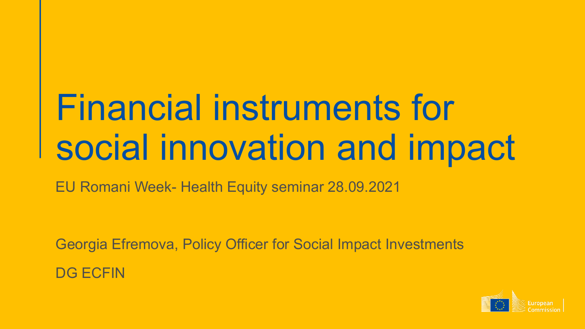# Financial instruments for social innovation and impact

EU Romani Week- Health Equity seminar 28.09.2021

Georgia Efremova, Policy Officer for Social Impact Investments DG ECFIN

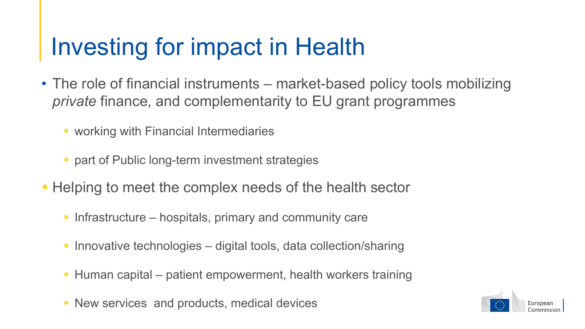### Investing for impact in Health

- The role of financial instruments market-based policy tools mobilizing *private* finance, and complementarity to EU grant programmes
	- **working with Financial Intermediaries**
	- part of Public long-term investment strategies
- Helping to meet the complex needs of the health sector
	- Infrastructure hospitals, primary and community care
	- Innovative technologies digital tools, data collection/sharing
	- Human capital patient empowerment, health workers training
	- **New services and products, medical devices**

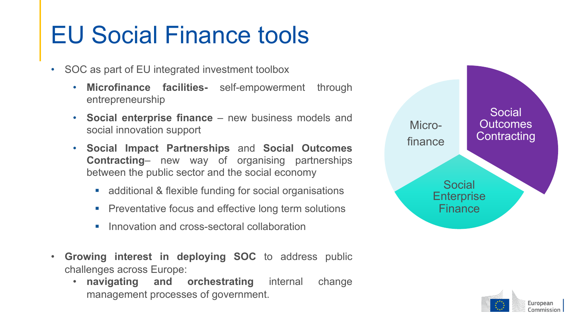### EU Social Finance tools

- SOC as part of EU integrated investment toolbox
	- **Microfinance facilities-** self-empowerment through entrepreneurship
	- **Social enterprise finance** new business models and social innovation support
	- **Social Impact Partnerships** and **Social Outcomes Contracting**– new way of organising partnerships between the public sector and the social economy
		- additional & flexible funding for social organisations
		- **Preventative focus and effective long term solutions**
		- Innovation and cross-sectoral collaboration
- **Growing interest in deploying SOC** to address public challenges across Europe:
	- **navigating and orchestrating** internal change management processes of government.



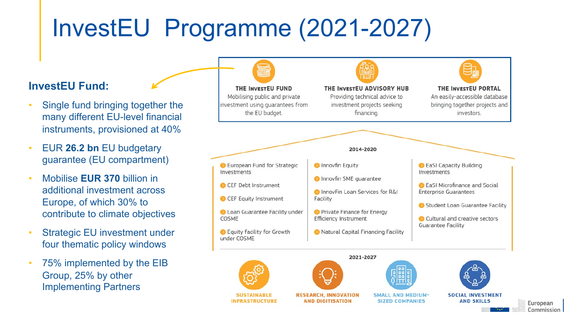## InvestEU Programme (2021-2027)

#### **InvestEU Fund:**

- Single fund bringing together the many different EU-level financial instruments, provisioned at 40%
- EUR **26.2 bn** EU budgetary guarantee (EU compartment)
- Mobilise **EUR 370** billion in additional investment across Europe, of which 30% to contribute to climate objectives
- Strategic EU investment under four thematic policy windows
- 75% implemented by the EIB Group, 25% by other Implementing Partners

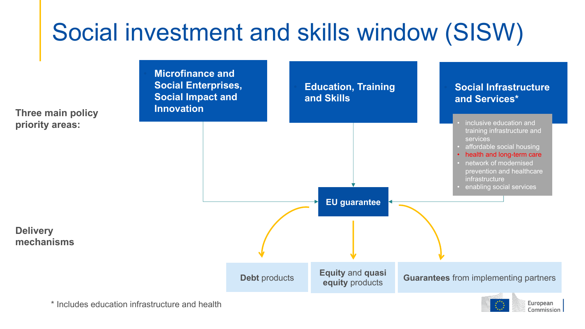# Social investment and skills window (SISW)



Commission

\* Includes education infrastructure and health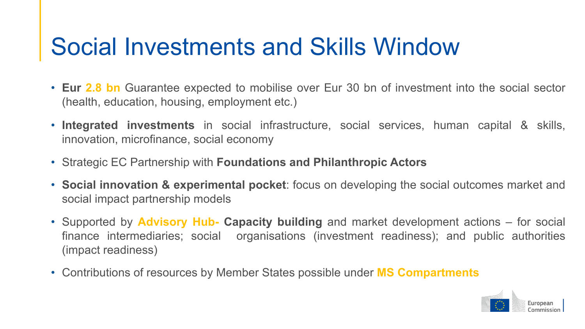### Social Investments and Skills Window

- **Eur 2.8 bn** Guarantee expected to mobilise over Eur 30 bn of investment into the social sector (health, education, housing, employment etc.)
- **Integrated investments** in social infrastructure, social services, human capital & skills, innovation, microfinance, social economy
- Strategic EC Partnership with **Foundations and Philanthropic Actors**
- **Social innovation & experimental pocket**: focus on developing the social outcomes market and social impact partnership models
- Supported by **Advisory Hub- Capacity building** and market development actions for social finance intermediaries; social organisations (investment readiness); and public authorities (impact readiness)
- Contributions of resources by Member States possible under **MS Compartments**

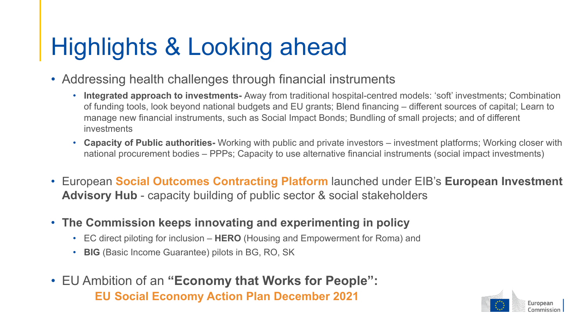## Highlights & Looking ahead

- Addressing health challenges through financial instruments
	- **Integrated approach to investments-** Away from traditional hospital-centred models: 'soft' investments; Combination of funding tools, look beyond national budgets and EU grants; Blend financing – different sources of capital; Learn to manage new financial instruments, such as Social Impact Bonds; Bundling of small projects; and of different investments
	- **Capacity of Public authorities-** Working with public and private investors investment platforms; Working closer with national procurement bodies – PPPs; Capacity to use alternative financial instruments (social impact investments)
- European **Social Outcomes Contracting Platform** launched under EIB's **European Investment Advisory Hub** - capacity building of public sector & social stakeholders
- **The Commission keeps innovating and experimenting in policy**
	- EC direct piloting for inclusion **HERO** (Housing and Empowerment for Roma) and
	- **BIG** (Basic Income Guarantee) pilots in BG, RO, SK
- EU Ambition of an **"Economy that Works for People": EU Social Economy Action Plan December 2021**